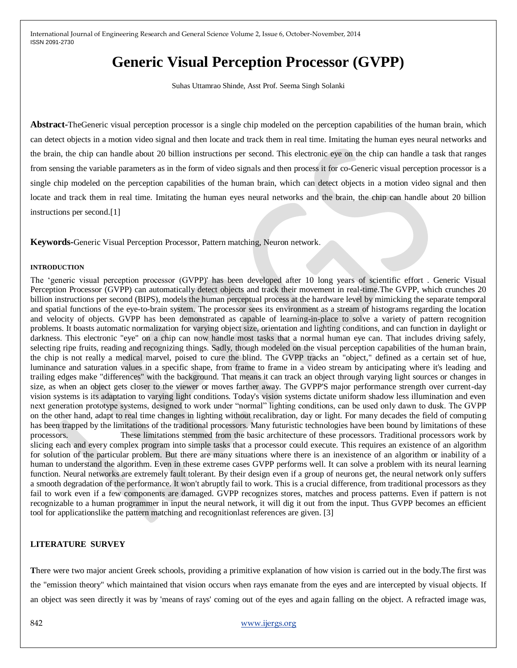# **Generic Visual Perception Processor (GVPP)**

Suhas Uttamrao Shinde, Asst Prof. Seema Singh Solanki

**Abstract-**TheGeneric visual perception processor is a single chip modeled on the perception capabilities of the human brain, which can detect objects in a motion video signal and then locate and track them in real time. Imitating the human eyes neural networks and the brain, the chip can handle about 20 billion instructions per second. This electronic eye on the chip can handle a task that ranges from sensing the variable parameters as in the form of video signals and then process it for co-Generic visual perception processor is a single chip modeled on the perception capabilities of the human brain, which can detect objects in a motion video signal and then locate and track them in real time. Imitating the human eyes neural networks and the brain, the chip can handle about 20 billion instructions per second.[1]

**Keywords-**Generic Visual Perception Processor, Pattern matching, Neuron network.

#### **INTRODUCTION**

The "generic visual perception processor (GVPP)' has been developed after 10 long years of scientific effort . Generic Visual Perception Processor (GVPP) can automatically detect objects and track their movement in real-time.The GVPP, which crunches 20 billion instructions per second (BIPS), models the human perceptual process at the hardware level by mimicking the separate temporal and spatial functions of the eye-to-brain system. The processor sees its environment as a stream of histograms regarding the location and velocity of objects. GVPP has been demonstrated as capable of learning-in-place to solve a variety of pattern recognition problems. It boasts automatic normalization for varying object size, orientation and lighting conditions, and can function in daylight or darkness. This electronic "eye" on a chip can now handle most tasks that a normal human eye can. That includes driving safely, selecting ripe fruits, reading and recognizing things. Sadly, though modeled on the visual perception capabilities of the human brain, the chip is not really a medical marvel, poised to cure the blind. The GVPP tracks an "object," defined as a certain set of hue, luminance and saturation values in a specific shape, from frame to frame in a video stream by anticipating where it's leading and trailing edges make "differences" with the background. That means it can track an object through varying light sources or changes in size, as when an object gets closer to the viewer or moves farther away. The GVPP'S major performance strength over current-day vision systems is its adaptation to varying light conditions. Today's vision systems dictate uniform shadow less illumination and even next generation prototype systems, designed to work under "normal" lighting conditions, can be used only dawn to dusk. The GVPP on the other hand, adapt to real time changes in lighting without recalibration, day or light. For many decades the field of computing has been trapped by the limitations of the traditional processors. Many futuristic technologies have been bound by limitations of these processors. These limitations stemmed from the basic architecture of these processors. Traditional processors work by slicing each and every complex program into simple tasks that a processor could execute. This requires an existence of an algorithm for solution of the particular problem. But there are many situations where there is an inexistence of an algorithm or inability of a human to understand the algorithm. Even in these extreme cases GVPP performs well. It can solve a problem with its neural learning function. Neural networks are extremely fault tolerant. By their design even if a group of neurons get, the neural network only suffers a smooth degradation of the performance. It won't abruptly fail to work. This is a crucial difference, from traditional processors as they fail to work even if a few components are damaged. GVPP recognizes stores, matches and process patterns. Even if pattern is not recognizable to a human programmer in input the neural network, it will dig it out from the input. Thus GVPP becomes an efficient tool for applicationslike the pattern matching and recognitionlast references are given. [3]

#### **LITERATURE SURVEY**

**T**here were two major ancient Greek schools, providing a primitive explanation of how vision is carried out in the body.The first was the "emission theory" which maintained that vision occurs when rays emanate from the eyes and are intercepted by visual objects. If an object was seen directly it was by 'means of rays' coming out of the eyes and again falling on the object. A refracted image was,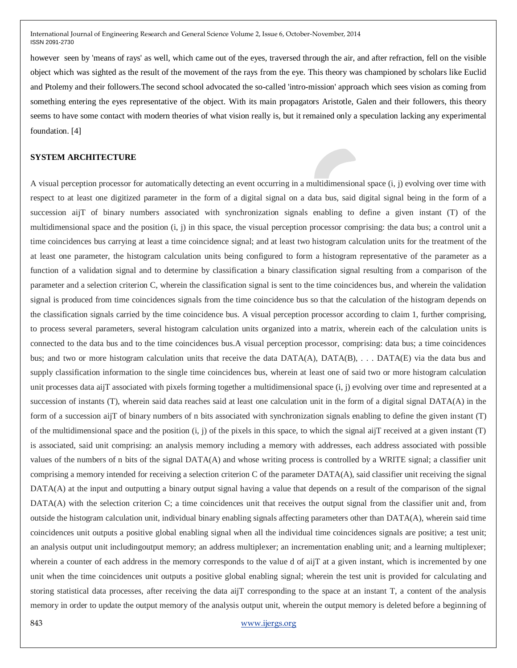however seen by 'means of rays' as well, which came out of the eyes, traversed through the air, and after refraction, fell on the visible object which was sighted as the result of the movement of the rays from the eye. This theory was championed by scholars like Euclid and Ptolemy and their followers.The second school advocated the so-called 'intro-mission' approach which sees vision as coming from something entering the eyes representative of the object. With its main propagators Aristotle, Galen and their followers, this theory seems to have some contact with modern theories of what vision really is, but it remained only a speculation lacking any experimental foundation. [4]

### **SYSTEM ARCHITECTURE**

A visual perception processor for automatically detecting an event occurring in a multidimensional space (i, j) evolving over time with respect to at least one digitized parameter in the form of a digital signal on a data bus, said digital signal being in the form of a succession aijT of binary numbers associated with synchronization signals enabling to define a given instant (T) of the multidimensional space and the position (i, j) in this space, the visual perception processor comprising: the data bus; a control unit a time coincidences bus carrying at least a time coincidence signal; and at least two histogram calculation units for the treatment of the at least one parameter, the histogram calculation units being configured to form a histogram representative of the parameter as a function of a validation signal and to determine by classification a binary classification signal resulting from a comparison of the parameter and a selection criterion C, wherein the classification signal is sent to the time coincidences bus, and wherein the validation signal is produced from time coincidences signals from the time coincidence bus so that the calculation of the histogram depends on the classification signals carried by the time coincidence bus. A visual perception processor according to claim 1, further comprising, to process several parameters, several histogram calculation units organized into a matrix, wherein each of the calculation units is connected to the data bus and to the time coincidences bus.A visual perception processor, comprising: data bus; a time coincidences bus; and two or more histogram calculation units that receive the data DATA(A), DATA(B), . . . DATA(E) via the data bus and supply classification information to the single time coincidences bus, wherein at least one of said two or more histogram calculation unit processes data aijT associated with pixels forming together a multidimensional space (i, j) evolving over time and represented at a succession of instants (T), wherein said data reaches said at least one calculation unit in the form of a digital signal DATA(A) in the form of a succession aijT of binary numbers of n bits associated with synchronization signals enabling to define the given instant (T) of the multidimensional space and the position  $(i, j)$  of the pixels in this space, to which the signal aijT received at a given instant  $(T)$ is associated, said unit comprising: an analysis memory including a memory with addresses, each address associated with possible values of the numbers of n bits of the signal DATA(A) and whose writing process is controlled by a WRITE signal; a classifier unit comprising a memory intended for receiving a selection criterion C of the parameter DATA(A), said classifier unit receiving the signal DATA(A) at the input and outputting a binary output signal having a value that depends on a result of the comparison of the signal DATA(A) with the selection criterion C; a time coincidences unit that receives the output signal from the classifier unit and, from outside the histogram calculation unit, individual binary enabling signals affecting parameters other than DATA(A), wherein said time coincidences unit outputs a positive global enabling signal when all the individual time coincidences signals are positive; a test unit; an analysis output unit includingoutput memory; an address multiplexer; an incrementation enabling unit; and a learning multiplexer; wherein a counter of each address in the memory corresponds to the value d of aijT at a given instant, which is incremented by one unit when the time coincidences unit outputs a positive global enabling signal; wherein the test unit is provided for calculating and storing statistical data processes, after receiving the data aijT corresponding to the space at an instant T, a content of the analysis memory in order to update the output memory of the analysis output unit, wherein the output memory is deleted before a beginning of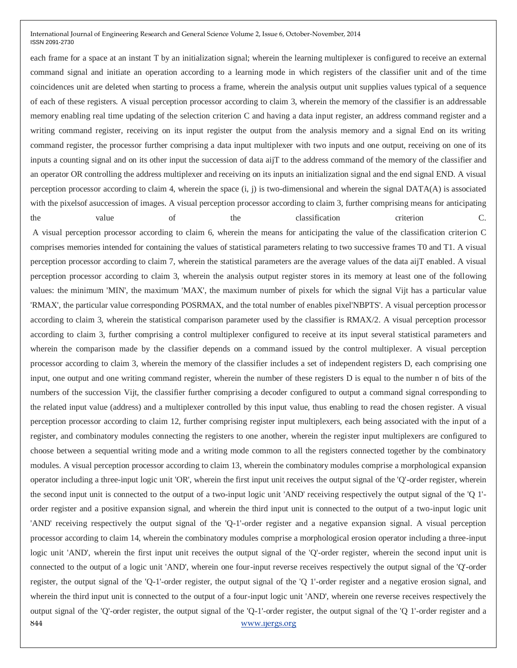each frame for a space at an instant T by an initialization signal; wherein the learning multiplexer is configured to receive an external command signal and initiate an operation according to a learning mode in which registers of the classifier unit and of the time coincidences unit are deleted when starting to process a frame, wherein the analysis output unit supplies values typical of a sequence of each of these registers. A visual perception processor according to claim 3, wherein the memory of the classifier is an addressable memory enabling real time updating of the selection criterion C and having a data input register, an address command register and a writing command register, receiving on its input register the output from the analysis memory and a signal End on its writing command register, the processor further comprising a data input multiplexer with two inputs and one output, receiving on one of its inputs a counting signal and on its other input the succession of data aijT to the address command of the memory of the classifier and an operator OR controlling the address multiplexer and receiving on its inputs an initialization signal and the end signal END. A visual perception processor according to claim 4, wherein the space (i, j) is two-dimensional and wherein the signal DATA(A) is associated with the pixels of asuccession of images. A visual perception processor according to claim 3, further comprising means for anticipating the value of the classification criterion C.

844 www.ijergs.org A visual perception processor according to claim 6, wherein the means for anticipating the value of the classification criterion C comprises memories intended for containing the values of statistical parameters relating to two successive frames T0 and T1. A visual perception processor according to claim 7, wherein the statistical parameters are the average values of the data aijT enabled. A visual perception processor according to claim 3, wherein the analysis output register stores in its memory at least one of the following values: the minimum 'MIN', the maximum 'MAX', the maximum number of pixels for which the signal Vijt has a particular value 'RMAX', the particular value corresponding POSRMAX, and the total number of enables pixel'NBPTS'. A visual perception processor according to claim 3, wherein the statistical comparison parameter used by the classifier is RMAX/2. A visual perception processor according to claim 3, further comprising a control multiplexer configured to receive at its input several statistical parameters and wherein the comparison made by the classifier depends on a command issued by the control multiplexer. A visual perception processor according to claim 3, wherein the memory of the classifier includes a set of independent registers D, each comprising one input, one output and one writing command register, wherein the number of these registers D is equal to the number n of bits of the numbers of the succession Vijt, the classifier further comprising a decoder configured to output a command signal corresponding to the related input value (address) and a multiplexer controlled by this input value, thus enabling to read the chosen register. A visual perception processor according to claim 12, further comprising register input multiplexers, each being associated with the input of a register, and combinatory modules connecting the registers to one another, wherein the register input multiplexers are configured to choose between a sequential writing mode and a writing mode common to all the registers connected together by the combinatory modules. A visual perception processor according to claim 13, wherein the combinatory modules comprise a morphological expansion operator including a three-input logic unit 'OR', wherein the first input unit receives the output signal of the 'Q'-order register, wherein the second input unit is connected to the output of a two-input logic unit 'AND' receiving respectively the output signal of the 'Q 1' order register and a positive expansion signal, and wherein the third input unit is connected to the output of a two-input logic unit 'AND' receiving respectively the output signal of the 'Q-1'-order register and a negative expansion signal. A visual perception processor according to claim 14, wherein the combinatory modules comprise a morphological erosion operator including a three-input logic unit 'AND', wherein the first input unit receives the output signal of the 'Q'-order register, wherein the second input unit is connected to the output of a logic unit 'AND', wherein one four-input reverse receives respectively the output signal of the 'Q'-order register, the output signal of the 'Q-1'-order register, the output signal of the 'Q 1'-order register and a negative erosion signal, and wherein the third input unit is connected to the output of a four-input logic unit 'AND', wherein one reverse receives respectively the output signal of the 'Q'-order register, the output signal of the 'Q-1'-order register, the output signal of the 'Q 1'-order register and a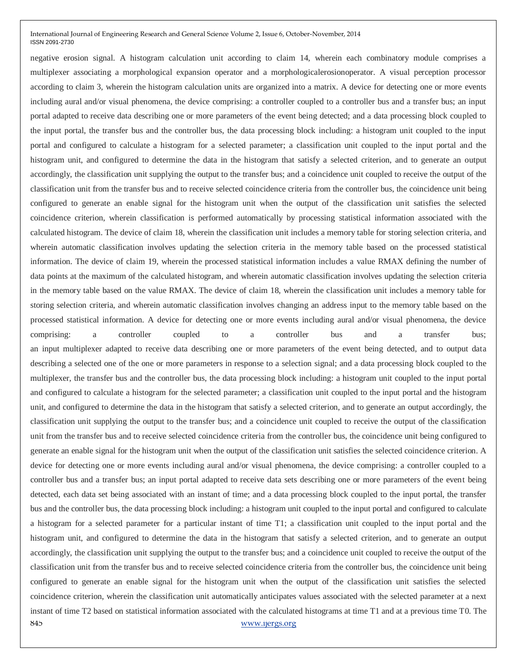845 www.ijergs.org negative erosion signal. A histogram calculation unit according to claim 14, wherein each combinatory module comprises a multiplexer associating a morphological expansion operator and a morphologicalerosionoperator. A visual perception processor according to claim 3, wherein the histogram calculation units are organized into a matrix. A device for detecting one or more events including aural and/or visual phenomena, the device comprising: a controller coupled to a controller bus and a transfer bus; an input portal adapted to receive data describing one or more parameters of the event being detected; and a data processing block coupled to the input portal, the transfer bus and the controller bus, the data processing block including: a histogram unit coupled to the input portal and configured to calculate a histogram for a selected parameter; a classification unit coupled to the input portal and the histogram unit, and configured to determine the data in the histogram that satisfy a selected criterion, and to generate an output accordingly, the classification unit supplying the output to the transfer bus; and a coincidence unit coupled to receive the output of the classification unit from the transfer bus and to receive selected coincidence criteria from the controller bus, the coincidence unit being configured to generate an enable signal for the histogram unit when the output of the classification unit satisfies the selected coincidence criterion, wherein classification is performed automatically by processing statistical information associated with the calculated histogram. The device of claim 18, wherein the classification unit includes a memory table for storing selection criteria, and wherein automatic classification involves updating the selection criteria in the memory table based on the processed statistical information. The device of claim 19, wherein the processed statistical information includes a value RMAX defining the number of data points at the maximum of the calculated histogram, and wherein automatic classification involves updating the selection criteria in the memory table based on the value RMAX. The device of claim 18, wherein the classification unit includes a memory table for storing selection criteria, and wherein automatic classification involves changing an address input to the memory table based on the processed statistical information. A device for detecting one or more events including aural and/or visual phenomena, the device comprising: a controller coupled to a controller bus and a transfer bus; an input multiplexer adapted to receive data describing one or more parameters of the event being detected, and to output data describing a selected one of the one or more parameters in response to a selection signal; and a data processing block coupled to the multiplexer, the transfer bus and the controller bus, the data processing block including: a histogram unit coupled to the input portal and configured to calculate a histogram for the selected parameter; a classification unit coupled to the input portal and the histogram unit, and configured to determine the data in the histogram that satisfy a selected criterion, and to generate an output accordingly, the classification unit supplying the output to the transfer bus; and a coincidence unit coupled to receive the output of the classification unit from the transfer bus and to receive selected coincidence criteria from the controller bus, the coincidence unit being configured to generate an enable signal for the histogram unit when the output of the classification unit satisfies the selected coincidence criterion. A device for detecting one or more events including aural and/or visual phenomena, the device comprising: a controller coupled to a controller bus and a transfer bus; an input portal adapted to receive data sets describing one or more parameters of the event being detected, each data set being associated with an instant of time; and a data processing block coupled to the input portal, the transfer bus and the controller bus, the data processing block including: a histogram unit coupled to the input portal and configured to calculate a histogram for a selected parameter for a particular instant of time T1; a classification unit coupled to the input portal and the histogram unit, and configured to determine the data in the histogram that satisfy a selected criterion, and to generate an output accordingly, the classification unit supplying the output to the transfer bus; and a coincidence unit coupled to receive the output of the classification unit from the transfer bus and to receive selected coincidence criteria from the controller bus, the coincidence unit being configured to generate an enable signal for the histogram unit when the output of the classification unit satisfies the selected coincidence criterion, wherein the classification unit automatically anticipates values associated with the selected parameter at a next instant of time T2 based on statistical information associated with the calculated histograms at time T1 and at a previous time T0. The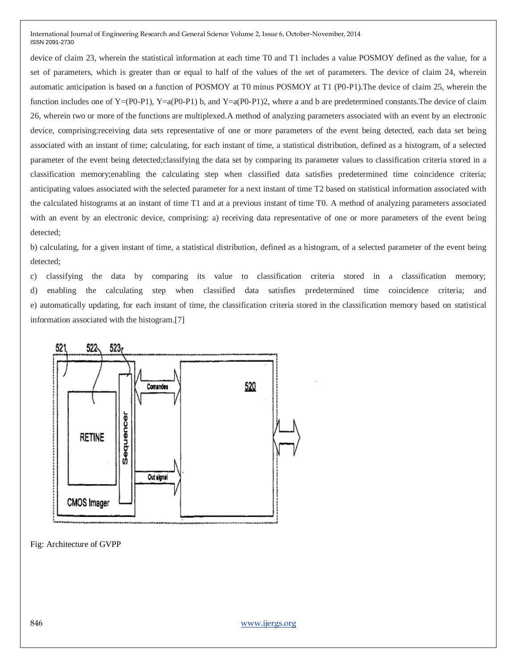device of claim 23, wherein the statistical information at each time T0 and T1 includes a value POSMOY defined as the value, for a set of parameters, which is greater than or equal to half of the values of the set of parameters. The device of claim 24, wherein automatic anticipation is based on a function of POSMOY at T0 minus POSMOY at T1 (P0-P1).The device of claim 25, wherein the function includes one of  $Y=(P0-P1)$ ,  $Y=a(P0-P1)$  b, and  $Y=a(P0-P1)$ , where a and b are predetermined constants. The device of claim 26, wherein two or more of the functions are multiplexed.A method of analyzing parameters associated with an event by an electronic device, comprising:receiving data sets representative of one or more parameters of the event being detected, each data set being associated with an instant of time; calculating, for each instant of time, a statistical distribution, defined as a histogram, of a selected parameter of the event being detected;classifying the data set by comparing its parameter values to classification criteria stored in a classification memory;enabling the calculating step when classified data satisfies predetermined time coincidence criteria; anticipating values associated with the selected parameter for a next instant of time T2 based on statistical information associated with the calculated histograms at an instant of time T1 and at a previous instant of time T0. A method of analyzing parameters associated with an event by an electronic device, comprising: a) receiving data representative of one or more parameters of the event being detected;

b) calculating, for a given instant of time, a statistical distribution, defined as a histogram, of a selected parameter of the event being detected;

c) classifying the data by comparing its value to classification criteria stored in a classification memory; d) enabling the calculating step when classified data satisfies predetermined time coincidence criteria; and e) automatically updating, for each instant of time, the classification criteria stored in the classification memory based on statistical information associated with the histogram.[7]



Fig: Architecture of GVPP